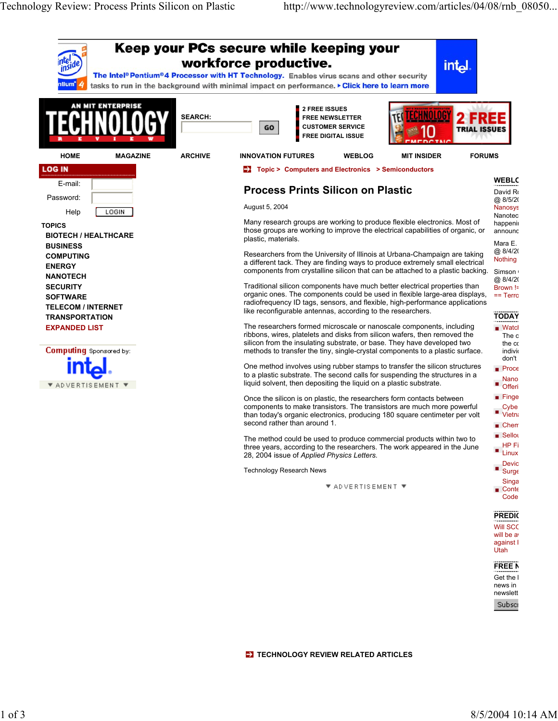

**TECHNOLOGY REVIEW RELATED ARTICLES**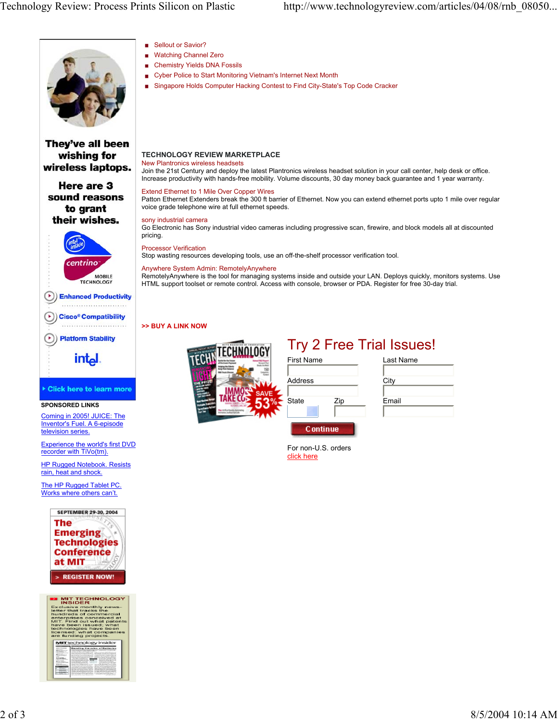

## **TECHNOLOGY REVIEW MARKETPLACE**

New Plantronics wireless headsets

Join the 21st Century and deploy the latest Plantronics wireless headset solution in your call center, help desk or office. Increase productivity with hands-free mobility. Volume discounts, 30 day money back guarantee and 1 year warranty.

Extend Ethernet to 1 Mile Over Copper Wires

Patton Ethernet Extenders break the 300 ft barrier of Ethernet. Now you can extend ethernet ports upto 1 mile over regular voice grade telephone wire at full ethernet speeds.

sony industrial camera

Go Electronic has Sony industrial video cameras including progressive scan, firewire, and block models all at discounted

Processor Verification

Stop wasting resources developing tools, use an off-the-shelf processor verification tool.

## Anywhere System Admin: RemotelyAnywhere

RemotelyAnywhere is the tool for managing systems inside and outside your LAN. Deploys quickly, monitors systems. Use HTML support toolset or remote control. Access with console, browser or PDA. Register for free 30-day trial.

**>> BUY A LINK NOW**



|                   |     | <b>Try 2 Free Trial Issues!</b> |
|-------------------|-----|---------------------------------|
| <b>First Name</b> |     | Last Name                       |
|                   |     |                                 |
| Address           |     | City                            |
|                   |     |                                 |
| State             | Zip | Email                           |
|                   |     |                                 |

For non-U.S. orders click here

**C** ontinue